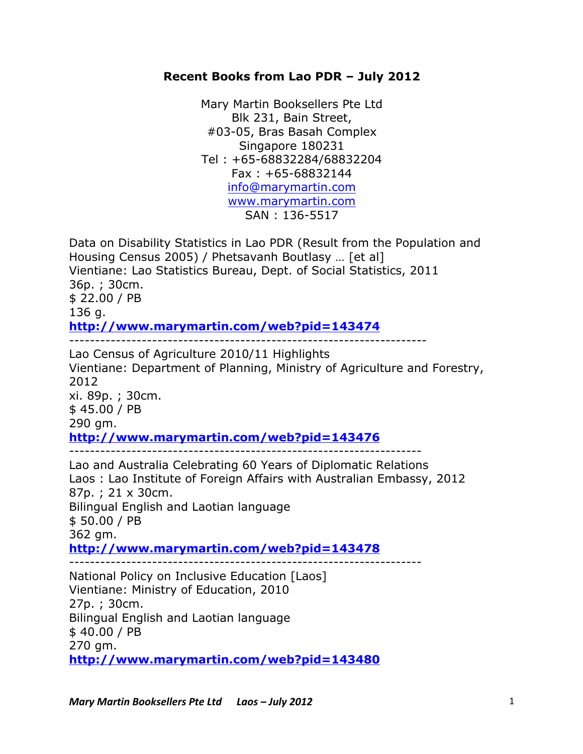## **Recent Books from Lao PDR – July 2012**

Mary Martin Booksellers Pte Ltd Blk 231, Bain Street, #03-05, Bras Basah Complex Singapore 180231 Tel : +65-68832284/68832204 Fax : +65-68832144 info@marymartin.com www.marymartin.com SAN : 136-5517

Data on Disability Statistics in Lao PDR (Result from the Population and Housing Census 2005) / Phetsavanh Boutlasy … [et al] Vientiane: Lao Statistics Bureau, Dept. of Social Statistics, 2011 36p. ; 30cm. \$ 22.00 / PB 136 g. **http://www.marymartin.com/web?pid=143474** --------------------------------------------------------------------- Lao Census of Agriculture 2010/11 Highlights

Vientiane: Department of Planning, Ministry of Agriculture and Forestry, 2012 xi. 89p. ; 30cm. \$ 45.00 / PB 290 gm. **http://www.marymartin.com/web?pid=143476** -------------------------------------------------------------------- Lao and Australia Celebrating 60 Years of Diplomatic Relations Laos : Lao Institute of Foreign Affairs with Australian Embassy, 2012 87p. ; 21 x 30cm. Bilingual English and Laotian language \$ 50.00 / PB 362 gm. **http://www.marymartin.com/web?pid=143478** -------------------------------------------------------------------- National Policy on Inclusive Education [Laos] Vientiane: Ministry of Education, 2010 27p. ; 30cm. Bilingual English and Laotian language \$ 40.00 / PB

270 gm.

**http://www.marymartin.com/web?pid=143480**